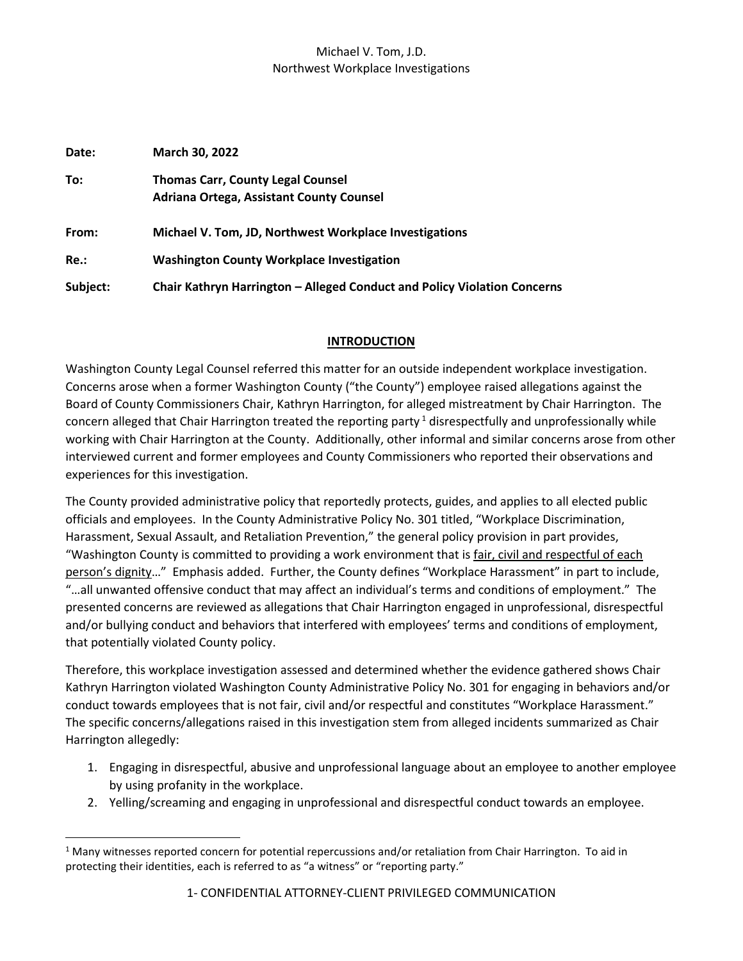| Date:    | <b>March 30, 2022</b>                                                                |
|----------|--------------------------------------------------------------------------------------|
| To:      | <b>Thomas Carr, County Legal Counsel</b><br>Adriana Ortega, Assistant County Counsel |
| From:    | Michael V. Tom, JD, Northwest Workplace Investigations                               |
| Re.:     | <b>Washington County Workplace Investigation</b>                                     |
| Subject: | Chair Kathryn Harrington - Alleged Conduct and Policy Violation Concerns             |

### **INTRODUCTION**

Washington County Legal Counsel referred this matter for an outside independent workplace investigation. Concerns arose when a former Washington County ("the County") employee raised allegations against the Board of County Commissioners Chair, Kathryn Harrington, for alleged mistreatment by Chair Harrington. The concern alleged that Chair Harrington treated the reporting party<sup>1</sup> disrespectfully and unprofessionally while working with Chair Harrington at the County. Additionally, other informal and similar concerns arose from other interviewed current and former employees and County Commissioners who reported their observations and experiences for this investigation.

The County provided administrative policy that reportedly protects, guides, and applies to all elected public officials and employees. In the County Administrative Policy No. 301 titled, "Workplace Discrimination, Harassment, Sexual Assault, and Retaliation Prevention," the general policy provision in part provides, "Washington County is committed to providing a work environment that is fair, civil and respectful of each person's dignity…" Emphasis added. Further, the County defines "Workplace Harassment" in part to include, "…all unwanted offensive conduct that may affect an individual's terms and conditions of employment." The presented concerns are reviewed as allegations that Chair Harrington engaged in unprofessional, disrespectful and/or bullying conduct and behaviors that interfered with employees' terms and conditions of employment, that potentially violated County policy.

Therefore, this workplace investigation assessed and determined whether the evidence gathered shows Chair Kathryn Harrington violated Washington County Administrative Policy No. 301 for engaging in behaviors and/or conduct towards employees that is not fair, civil and/or respectful and constitutes "Workplace Harassment." The specific concerns/allegations raised in this investigation stem from alleged incidents summarized as Chair Harrington allegedly:

- 1. Engaging in disrespectful, abusive and unprofessional language about an employee to another employee by using profanity in the workplace.
- 2. Yelling/screaming and engaging in unprofessional and disrespectful conduct towards an employee.

 $1$  Many witnesses reported concern for potential repercussions and/or retaliation from Chair Harrington. To aid in protecting their identities, each is referred to as "a witness" or "reporting party."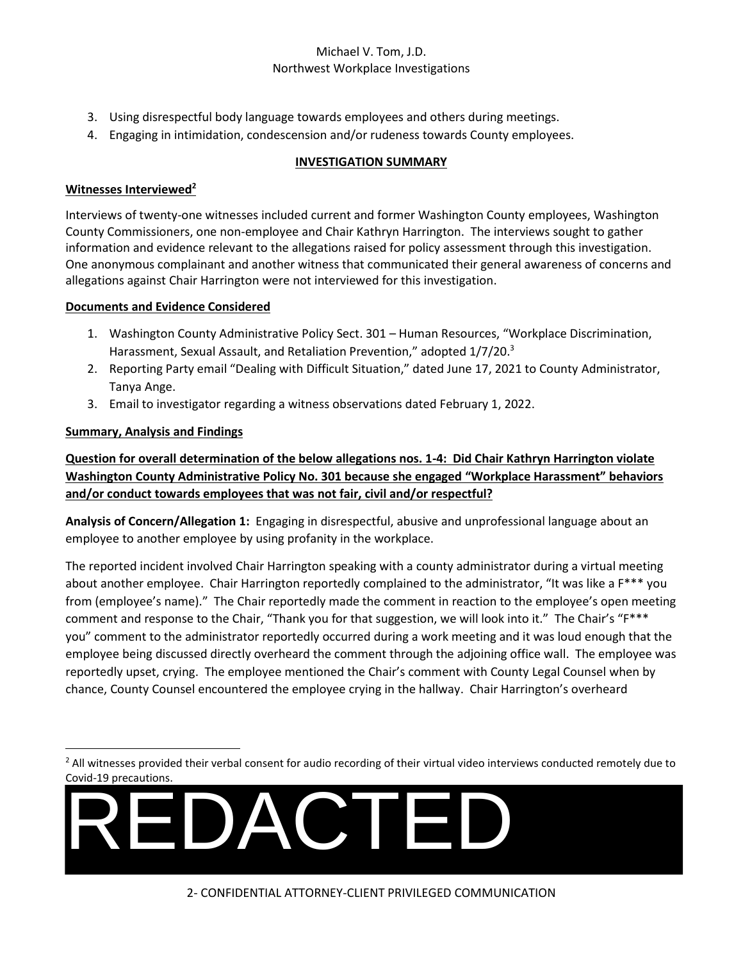- 3. Using disrespectful body language towards employees and others during meetings.
- 4. Engaging in intimidation, condescension and/or rudeness towards County employees.

# **INVESTIGATION SUMMARY**

### **Witnesses Interviewed<sup>2</sup>**

Interviews of twenty-one witnesses included current and former Washington County employees, Washington County Commissioners, one non-employee and Chair Kathryn Harrington. The interviews sought to gather information and evidence relevant to the allegations raised for policy assessment through this investigation. One anonymous complainant and another witness that communicated their general awareness of concerns and allegations against Chair Harrington were not interviewed for this investigation.

### **Documents and Evidence Considered**

- 1. Washington County Administrative Policy Sect. 301 Human Resources, "Workplace Discrimination, Harassment, Sexual Assault, and Retaliation Prevention," adopted 1/7/20.<sup>3</sup>
- 2. Reporting Party email "Dealing with Difficult Situation," dated June 17, 2021 to County Administrator, Tanya Ange.
- 3. Email to investigator regarding a witness observations dated February 1, 2022.

# **Summary, Analysis and Findings**

**Question for overall determination of the below allegations nos. 1-4: Did Chair Kathryn Harrington violate Washington County Administrative Policy No. 301 because she engaged "Workplace Harassment" behaviors and/or conduct towards employees that was not fair, civil and/or respectful?**

**Analysis of Concern/Allegation 1:** Engaging in disrespectful, abusive and unprofessional language about an employee to another employee by using profanity in the workplace.

The reported incident involved Chair Harrington speaking with a county administrator during a virtual meeting about another employee. Chair Harrington reportedly complained to the administrator, "It was like a F\*\*\* you from (employee's name)." The Chair reportedly made the comment in reaction to the employee's open meeting comment and response to the Chair, "Thank you for that suggestion, we will look into it." The Chair's "F\*\*\* you" comment to the administrator reportedly occurred during a work meeting and it was loud enough that the employee being discussed directly overheard the comment through the adjoining office wall. The employee was reportedly upset, crying. The employee mentioned the Chair's comment with County Legal Counsel when by chance, County Counsel encountered the employee crying in the hallway. Chair Harrington's overheard

<sup>&</sup>lt;sup>2</sup> All witnesses provided their verbal consent for audio recording of their virtual video interviews conducted remotely due to Covid-19 precautions.

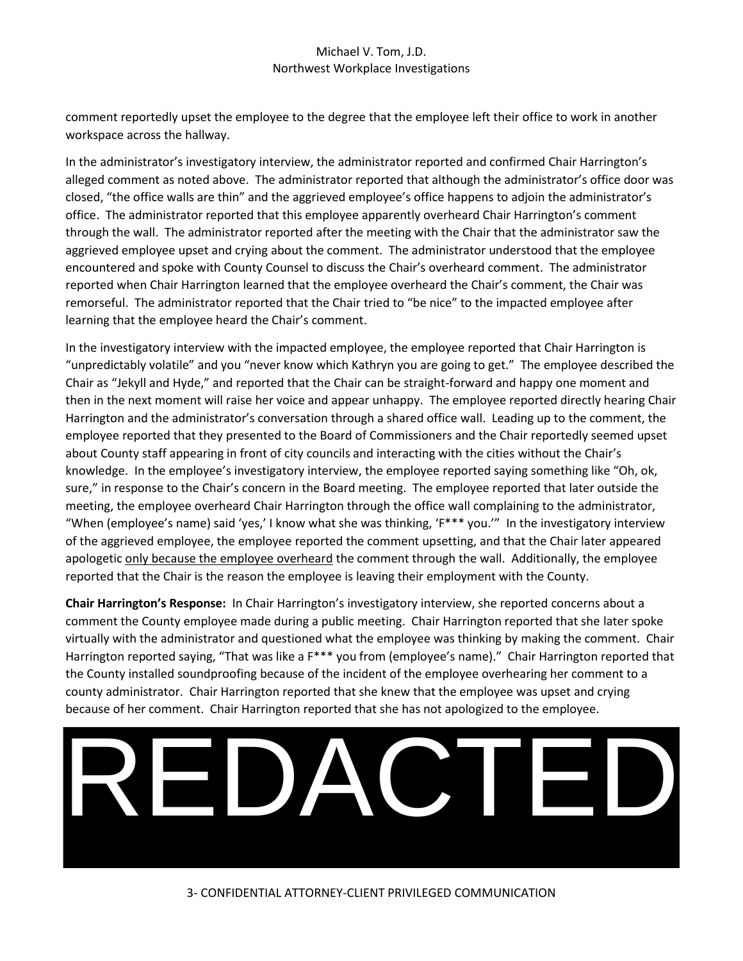comment reportedly upset the employee to the degree that the employee left their office to work in another workspace across the hallway.

In the administrator's investigatory interview, the administrator reported and confirmed Chair Harrington's alleged comment as noted above. The administrator reported that although the administrator's office door was closed, "the office walls are thin" and the aggrieved employee's office happens to adjoin the administrator's office. The administrator reported that this employee apparently overheard Chair Harrington's comment through the wall. The administrator reported after the meeting with the Chair that the administrator saw the aggrieved employee upset and crying about the comment. The administrator understood that the employee encountered and spoke with County Counsel to discuss the Chair's overheard comment. The administrator reported when Chair Harrington learned that the employee overheard the Chair's comment, the Chair was remorseful. The administrator reported that the Chair tried to "be nice" to the impacted employee after learning that the employee heard the Chair's comment.

In the investigatory interview with the impacted employee, the employee reported that Chair Harrington is "unpredictably volatile" and you "never know which Kathryn you are going to get." The employee described the Chair as "Jekyll and Hyde," and reported that the Chair can be straight-forward and happy one moment and then in the next moment will raise her voice and appear unhappy. The employee reported directly hearing Chair Harrington and the administrator's conversation through a shared office wall. Leading up to the comment, the employee reported that they presented to the Board of Commissioners and the Chair reportedly seemed upset about County staff appearing in front of city councils and interacting with the cities without the Chair's knowledge. In the employee's investigatory interview, the employee reported saying something like "Oh, ok, sure," in response to the Chair's concern in the Board meeting. The employee reported that later outside the meeting, the employee overheard Chair Harrington through the office wall complaining to the administrator, "When (employee's name) said 'yes,' I know what she was thinking, 'F\*\*\* you.'" In the investigatory interview of the aggrieved employee, the employee reported the comment upsetting, and that the Chair later appeared apologetic only because the employee overheard the comment through the wall. Additionally, the employee reported that the Chair is the reason the employee is leaving their employment with the County.

**Chair Harrington's Response:** In Chair Harrington's investigatory interview, she reported concerns about a comment the County employee made during a public meeting. Chair Harrington reported that she later spoke virtually with the administrator and questioned what the employee was thinking by making the comment. Chair Harrington reported saying, "That was like a F\*\*\* you from (employee's name)." Chair Harrington reported that the County installed soundproofing because of the incident of the employee overhearing her comment to a county administrator. Chair Harrington reported that she knew that the employee was upset and crying because of her comment. Chair Harrington reported that she has not apologized to the employee.

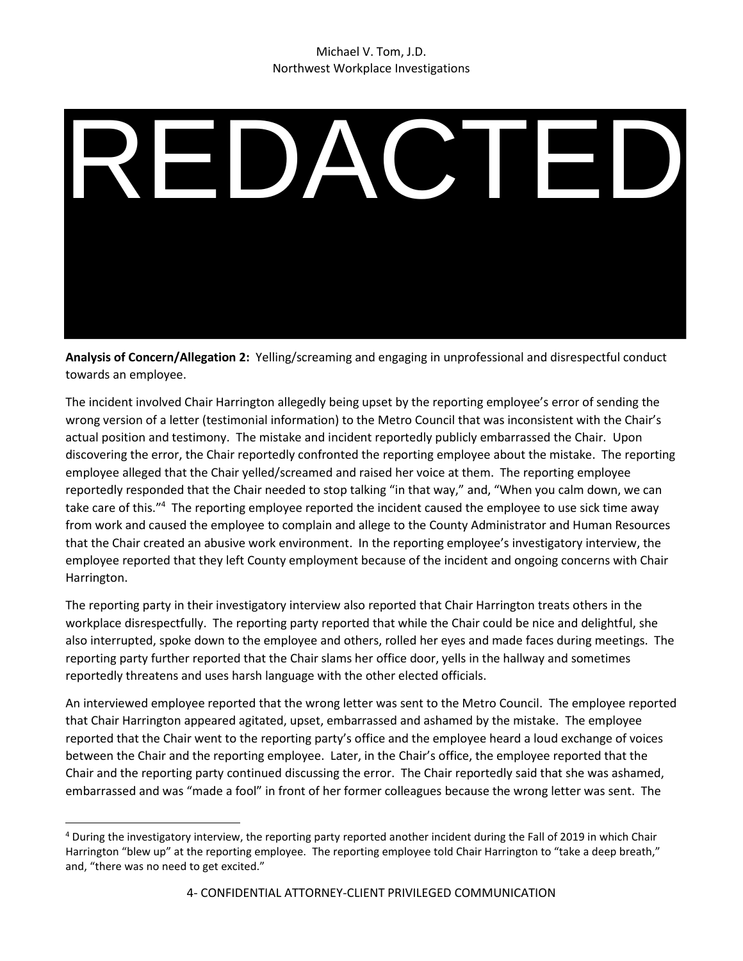

**Analysis of Concern/Allegation 2:** Yelling/screaming and engaging in unprofessional and disrespectful conduct towards an employee.

The incident involved Chair Harrington allegedly being upset by the reporting employee's error of sending the wrong version of a letter (testimonial information) to the Metro Council that was inconsistent with the Chair's actual position and testimony. The mistake and incident reportedly publicly embarrassed the Chair. Upon discovering the error, the Chair reportedly confronted the reporting employee about the mistake. The reporting employee alleged that the Chair yelled/screamed and raised her voice at them. The reporting employee reportedly responded that the Chair needed to stop talking "in that way," and, "When you calm down, we can take care of this."<sup>4</sup> The reporting employee reported the incident caused the employee to use sick time away from work and caused the employee to complain and allege to the County Administrator and Human Resources that the Chair created an abusive work environment. In the reporting employee's investigatory interview, the employee reported that they left County employment because of the incident and ongoing concerns with Chair Harrington.

The reporting party in their investigatory interview also reported that Chair Harrington treats others in the workplace disrespectfully. The reporting party reported that while the Chair could be nice and delightful, she also interrupted, spoke down to the employee and others, rolled her eyes and made faces during meetings. The reporting party further reported that the Chair slams her office door, yells in the hallway and sometimes reportedly threatens and uses harsh language with the other elected officials.

An interviewed employee reported that the wrong letter was sent to the Metro Council. The employee reported that Chair Harrington appeared agitated, upset, embarrassed and ashamed by the mistake. The employee reported that the Chair went to the reporting party's office and the employee heard a loud exchange of voices between the Chair and the reporting employee. Later, in the Chair's office, the employee reported that the Chair and the reporting party continued discussing the error. The Chair reportedly said that she was ashamed, embarrassed and was "made a fool" in front of her former colleagues because the wrong letter was sent. The

<sup>4</sup> During the investigatory interview, the reporting party reported another incident during the Fall of 2019 in which Chair Harrington "blew up" at the reporting employee. The reporting employee told Chair Harrington to "take a deep breath," and, "there was no need to get excited."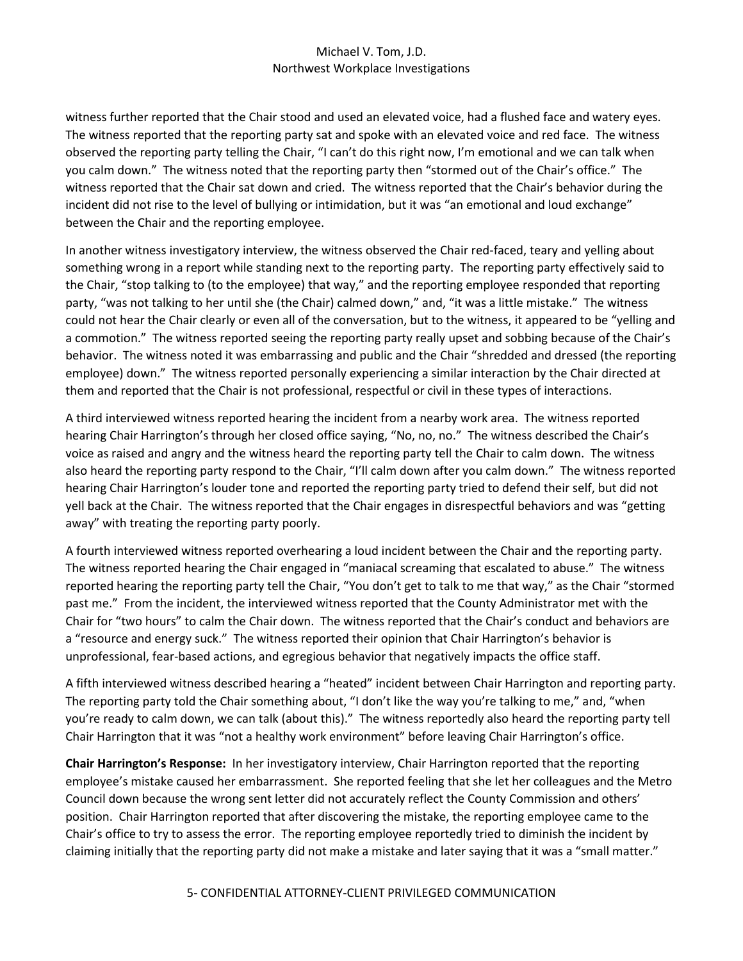witness further reported that the Chair stood and used an elevated voice, had a flushed face and watery eyes. The witness reported that the reporting party sat and spoke with an elevated voice and red face. The witness observed the reporting party telling the Chair, "I can't do this right now, I'm emotional and we can talk when you calm down." The witness noted that the reporting party then "stormed out of the Chair's office." The witness reported that the Chair sat down and cried. The witness reported that the Chair's behavior during the incident did not rise to the level of bullying or intimidation, but it was "an emotional and loud exchange" between the Chair and the reporting employee.

In another witness investigatory interview, the witness observed the Chair red-faced, teary and yelling about something wrong in a report while standing next to the reporting party. The reporting party effectively said to the Chair, "stop talking to (to the employee) that way," and the reporting employee responded that reporting party, "was not talking to her until she (the Chair) calmed down," and, "it was a little mistake." The witness could not hear the Chair clearly or even all of the conversation, but to the witness, it appeared to be "yelling and a commotion." The witness reported seeing the reporting party really upset and sobbing because of the Chair's behavior. The witness noted it was embarrassing and public and the Chair "shredded and dressed (the reporting employee) down." The witness reported personally experiencing a similar interaction by the Chair directed at them and reported that the Chair is not professional, respectful or civil in these types of interactions.

A third interviewed witness reported hearing the incident from a nearby work area. The witness reported hearing Chair Harrington's through her closed office saying, "No, no, no." The witness described the Chair's voice as raised and angry and the witness heard the reporting party tell the Chair to calm down. The witness also heard the reporting party respond to the Chair, "I'll calm down after you calm down." The witness reported hearing Chair Harrington's louder tone and reported the reporting party tried to defend their self, but did not yell back at the Chair. The witness reported that the Chair engages in disrespectful behaviors and was "getting away" with treating the reporting party poorly.

A fourth interviewed witness reported overhearing a loud incident between the Chair and the reporting party. The witness reported hearing the Chair engaged in "maniacal screaming that escalated to abuse." The witness reported hearing the reporting party tell the Chair, "You don't get to talk to me that way," as the Chair "stormed past me." From the incident, the interviewed witness reported that the County Administrator met with the Chair for "two hours" to calm the Chair down. The witness reported that the Chair's conduct and behaviors are a "resource and energy suck." The witness reported their opinion that Chair Harrington's behavior is unprofessional, fear-based actions, and egregious behavior that negatively impacts the office staff.

A fifth interviewed witness described hearing a "heated" incident between Chair Harrington and reporting party. The reporting party told the Chair something about, "I don't like the way you're talking to me," and, "when you're ready to calm down, we can talk (about this)." The witness reportedly also heard the reporting party tell Chair Harrington that it was "not a healthy work environment" before leaving Chair Harrington's office.

**Chair Harrington's Response:** In her investigatory interview, Chair Harrington reported that the reporting employee's mistake caused her embarrassment. She reported feeling that she let her colleagues and the Metro Council down because the wrong sent letter did not accurately reflect the County Commission and others' position. Chair Harrington reported that after discovering the mistake, the reporting employee came to the Chair's office to try to assess the error. The reporting employee reportedly tried to diminish the incident by claiming initially that the reporting party did not make a mistake and later saying that it was a "small matter."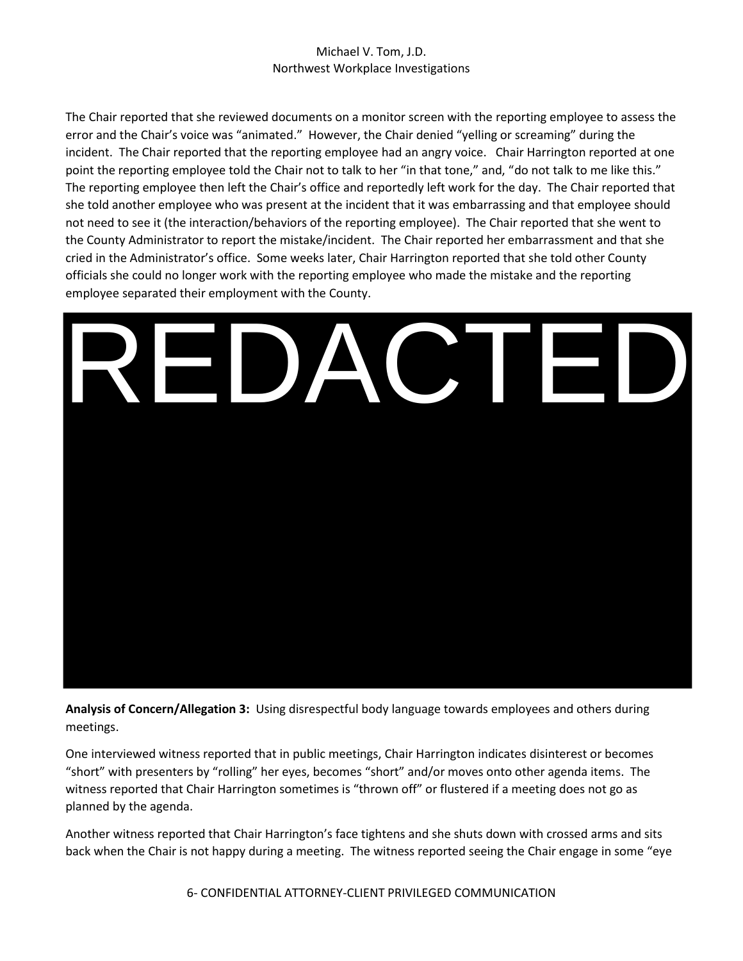The Chair reported that she reviewed documents on a monitor screen with the reporting employee to assess the error and the Chair's voice was "animated." However, the Chair denied "yelling or screaming" during the incident. The Chair reported that the reporting employee had an angry voice. Chair Harrington reported at one point the reporting employee told the Chair not to talk to her "in that tone," and, "do not talk to me like this." The reporting employee then left the Chair's office and reportedly left work for the day. The Chair reported that she told another employee who was present at the incident that it was embarrassing and that employee should not need to see it (the interaction/behaviors of the reporting employee). The Chair reported that she went to the County Administrator to report the mistake/incident. The Chair reported her embarrassment and that she cried in the Administrator's office. Some weeks later, Chair Harrington reported that she told other County officials she could no longer work with the reporting employee who made the mistake and the reporting employee separated their employment with the County.



**Analysis of Concern/Allegation 3:** Using disrespectful body language towards employees and others during meetings.

One interviewed witness reported that in public meetings, Chair Harrington indicates disinterest or becomes "short" with presenters by "rolling" her eyes, becomes "short" and/or moves onto other agenda items. The witness reported that Chair Harrington sometimes is "thrown off" or flustered if a meeting does not go as planned by the agenda.

Another witness reported that Chair Harrington's face tightens and she shuts down with crossed arms and sits back when the Chair is not happy during a meeting. The witness reported seeing the Chair engage in some "eye

6- CONFIDENTIAL ATTORNEY-CLIENT PRIVILEGED COMMUNICATION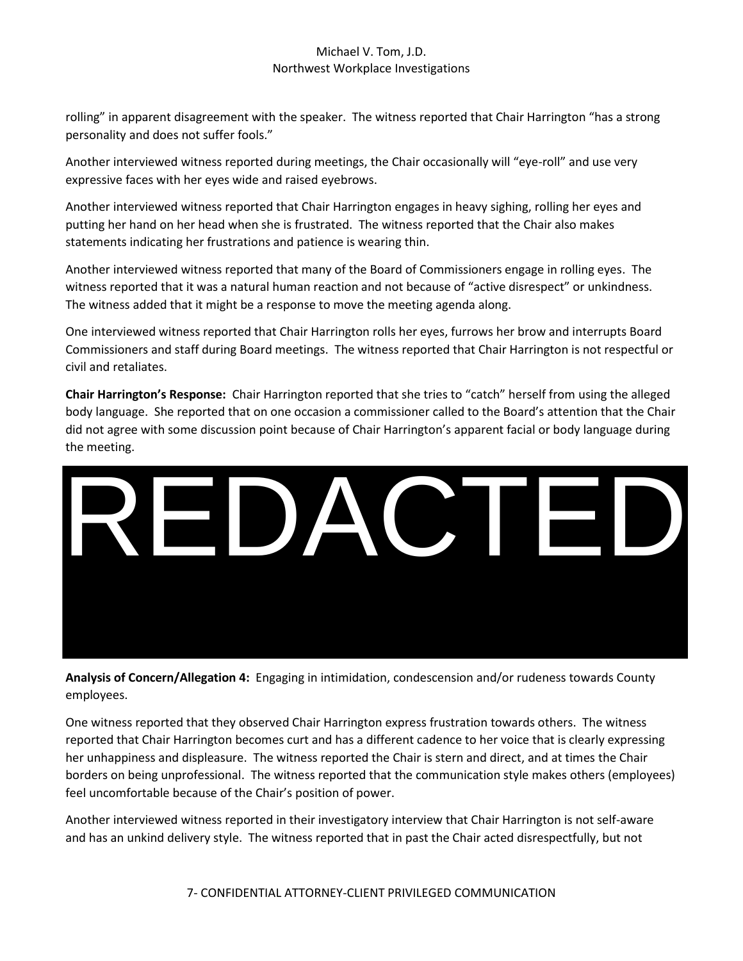rolling" in apparent disagreement with the speaker. The witness reported that Chair Harrington "has a strong personality and does not suffer fools."

Another interviewed witness reported during meetings, the Chair occasionally will "eye-roll" and use very expressive faces with her eyes wide and raised eyebrows.

Another interviewed witness reported that Chair Harrington engages in heavy sighing, rolling her eyes and putting her hand on her head when she is frustrated. The witness reported that the Chair also makes statements indicating her frustrations and patience is wearing thin.

Another interviewed witness reported that many of the Board of Commissioners engage in rolling eyes. The witness reported that it was a natural human reaction and not because of "active disrespect" or unkindness. The witness added that it might be a response to move the meeting agenda along.

One interviewed witness reported that Chair Harrington rolls her eyes, furrows her brow and interrupts Board Commissioners and staff during Board meetings. The witness reported that Chair Harrington is not respectful or civil and retaliates.

**Chair Harrington's Response:** Chair Harrington reported that she tries to "catch" herself from using the alleged body language. She reported that on one occasion a commissioner called to the Board's attention that the Chair did not agree with some discussion point because of Chair Harrington's apparent facial or body language during the meeting.



**Analysis of Concern/Allegation 4:** Engaging in intimidation, condescension and/or rudeness towards County employees.

One witness reported that they observed Chair Harrington express frustration towards others. The witness reported that Chair Harrington becomes curt and has a different cadence to her voice that is clearly expressing her unhappiness and displeasure. The witness reported the Chair is stern and direct, and at times the Chair borders on being unprofessional. The witness reported that the communication style makes others (employees) feel uncomfortable because of the Chair's position of power.

Another interviewed witness reported in their investigatory interview that Chair Harrington is not self-aware

7- CONFIDENTIAL ATTORNEY-CLIENT PRIVILEGED COMMUNICATION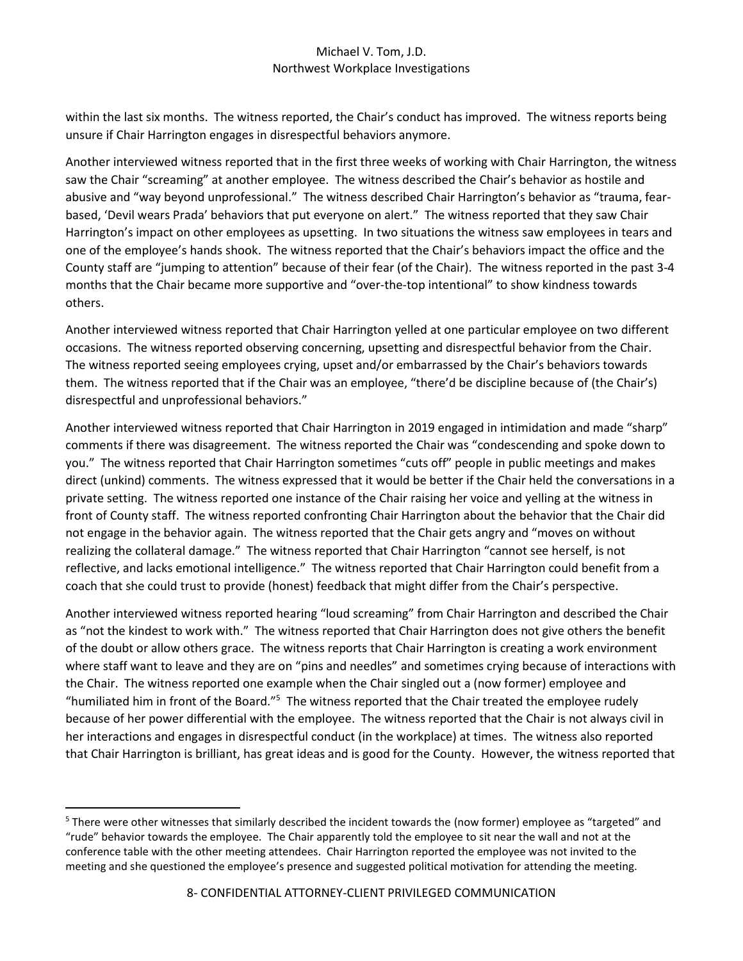within the last six months. The witness reported, the Chair's conduct has improved. The witness reports being unsure if Chair Harrington engages in disrespectful behaviors anymore.

Another interviewed witness reported that in the first three weeks of working with Chair Harrington, the witness saw the Chair "screaming" at another employee. The witness described the Chair's behavior as hostile and abusive and "way beyond unprofessional." The witness described Chair Harrington's behavior as "trauma, fearbased, 'Devil wears Prada' behaviors that put everyone on alert." The witness reported that they saw Chair Harrington's impact on other employees as upsetting. In two situations the witness saw employees in tears and one of the employee's hands shook. The witness reported that the Chair's behaviors impact the office and the County staff are "jumping to attention" because of their fear (of the Chair). The witness reported in the past 3-4 months that the Chair became more supportive and "over-the-top intentional" to show kindness towards others.

Another interviewed witness reported that Chair Harrington yelled at one particular employee on two different occasions. The witness reported observing concerning, upsetting and disrespectful behavior from the Chair. The witness reported seeing employees crying, upset and/or embarrassed by the Chair's behaviors towards them. The witness reported that if the Chair was an employee, "there'd be discipline because of (the Chair's) disrespectful and unprofessional behaviors."

Another interviewed witness reported that Chair Harrington in 2019 engaged in intimidation and made "sharp" comments if there was disagreement. The witness reported the Chair was "condescending and spoke down to you." The witness reported that Chair Harrington sometimes "cuts off" people in public meetings and makes direct (unkind) comments. The witness expressed that it would be better if the Chair held the conversations in a private setting. The witness reported one instance of the Chair raising her voice and yelling at the witness in front of County staff. The witness reported confronting Chair Harrington about the behavior that the Chair did not engage in the behavior again. The witness reported that the Chair gets angry and "moves on without realizing the collateral damage." The witness reported that Chair Harrington "cannot see herself, is not reflective, and lacks emotional intelligence." The witness reported that Chair Harrington could benefit from a coach that she could trust to provide (honest) feedback that might differ from the Chair's perspective.

Another interviewed witness reported hearing "loud screaming" from Chair Harrington and described the Chair as "not the kindest to work with." The witness reported that Chair Harrington does not give others the benefit of the doubt or allow others grace. The witness reports that Chair Harrington is creating a work environment where staff want to leave and they are on "pins and needles" and sometimes crying because of interactions with the Chair. The witness reported one example when the Chair singled out a (now former) employee and "humiliated him in front of the Board."<sup>5</sup> The witness reported that the Chair treated the employee rudely because of her power differential with the employee. The witness reported that the Chair is not always civil in her interactions and engages in disrespectful conduct (in the workplace) at times. The witness also reported that Chair Harrington is brilliant, has great ideas and is good for the County. However, the witness reported that

 $5$  There were other witnesses that similarly described the incident towards the (now former) employee as "targeted" and "rude" behavior towards the employee. The Chair apparently told the employee to sit near the wall and not at the conference table with the other meeting attendees. Chair Harrington reported the employee was not invited to the meeting and she questioned the employee's presence and suggested political motivation for attending the meeting.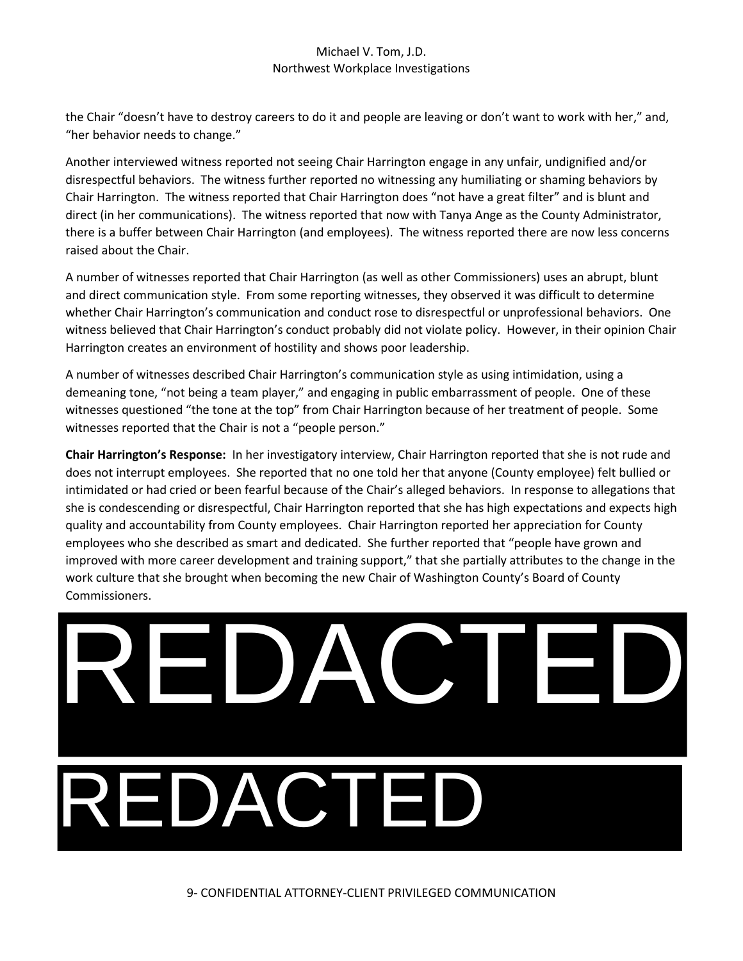the Chair "doesn't have to destroy careers to do it and people are leaving or don't want to work with her," and, "her behavior needs to change."

Another interviewed witness reported not seeing Chair Harrington engage in any unfair, undignified and/or disrespectful behaviors. The witness further reported no witnessing any humiliating or shaming behaviors by Chair Harrington. The witness reported that Chair Harrington does "not have a great filter" and is blunt and direct (in her communications). The witness reported that now with Tanya Ange as the County Administrator, there is a buffer between Chair Harrington (and employees). The witness reported there are now less concerns raised about the Chair.

A number of witnesses reported that Chair Harrington (as well as other Commissioners) uses an abrupt, blunt and direct communication style. From some reporting witnesses, they observed it was difficult to determine whether Chair Harrington's communication and conduct rose to disrespectful or unprofessional behaviors. One witness believed that Chair Harrington's conduct probably did not violate policy. However, in their opinion Chair Harrington creates an environment of hostility and shows poor leadership.

A number of witnesses described Chair Harrington's communication style as using intimidation, using a demeaning tone, "not being a team player," and engaging in public embarrassment of people. One of these witnesses questioned "the tone at the top" from Chair Harrington because of her treatment of people. Some witnesses reported that the Chair is not a "people person."

**Chair Harrington's Response:** In her investigatory interview, Chair Harrington reported that she is not rude and does not interrupt employees. She reported that no one told her that anyone (County employee) felt bullied or intimidated or had cried or been fearful because of the Chair's alleged behaviors. In response to allegations that she is condescending or disrespectful, Chair Harrington reported that she has high expectations and expects high quality and accountability from County employees. Chair Harrington reported her appreciation for County employees who she described as smart and dedicated. She further reported that "people have grown and improved with more career development and training support," that she partially attributes to the change in the work culture that she brought when becoming the new Chair of Washington County's Board of County Commissioners.

REDACTED DACT